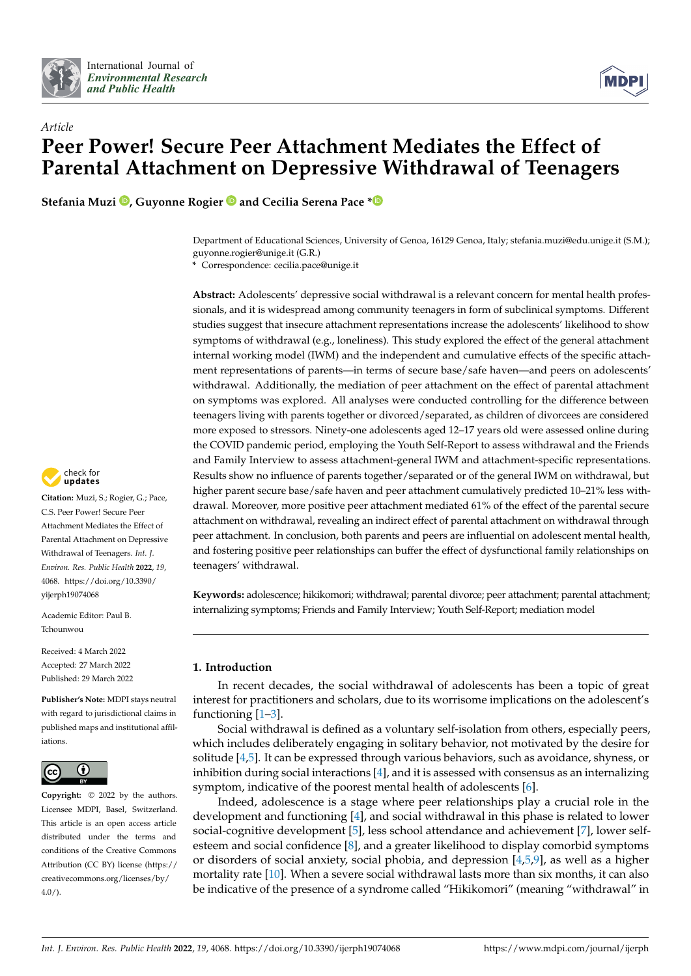



# *Article* **Peer Power! Secure Peer Attachment Mediates the Effect of Parental Attachment on Depressive Withdrawal of Teenagers**

**Stefania Muzi [,](https://orcid.org/0000-0001-8332-1931) Guyonne Rogier and Cecilia Serena Pace [\\*](https://orcid.org/0000-0002-1540-3027)**

Department of Educational Sciences, University of Genoa, 16129 Genoa, Italy; stefania.muzi@edu.unige.it (S.M.); guyonne.rogier@unige.it (G.R.)

**\*** Correspondence: cecilia.pace@unige.it

**Abstract:** Adolescents' depressive social withdrawal is a relevant concern for mental health professionals, and it is widespread among community teenagers in form of subclinical symptoms. Different studies suggest that insecure attachment representations increase the adolescents' likelihood to show symptoms of withdrawal (e.g., loneliness). This study explored the effect of the general attachment internal working model (IWM) and the independent and cumulative effects of the specific attachment representations of parents—in terms of secure base/safe haven—and peers on adolescents' withdrawal. Additionally, the mediation of peer attachment on the effect of parental attachment on symptoms was explored. All analyses were conducted controlling for the difference between teenagers living with parents together or divorced/separated, as children of divorcees are considered more exposed to stressors. Ninety-one adolescents aged 12–17 years old were assessed online during the COVID pandemic period, employing the Youth Self-Report to assess withdrawal and the Friends and Family Interview to assess attachment-general IWM and attachment-specific representations. Results show no influence of parents together/separated or of the general IWM on withdrawal, but higher parent secure base/safe haven and peer attachment cumulatively predicted 10–21% less withdrawal. Moreover, more positive peer attachment mediated 61% of the effect of the parental secure attachment on withdrawal, revealing an indirect effect of parental attachment on withdrawal through peer attachment. In conclusion, both parents and peers are influential on adolescent mental health, and fostering positive peer relationships can buffer the effect of dysfunctional family relationships on teenagers' withdrawal.

**Keywords:** adolescence; hikikomori; withdrawal; parental divorce; peer attachment; parental attachment; internalizing symptoms; Friends and Family Interview; Youth Self-Report; mediation model

## **1. Introduction**

In recent decades, the social withdrawal of adolescents has been a topic of great interest for practitioners and scholars, due to its worrisome implications on the adolescent's functioning [\[1](#page-10-0)[–3\]](#page-10-1).

Social withdrawal is defined as a voluntary self-isolation from others, especially peers, which includes deliberately engaging in solitary behavior, not motivated by the desire for solitude [\[4,](#page-10-2)[5\]](#page-11-0). It can be expressed through various behaviors, such as avoidance, shyness, or inhibition during social interactions [\[4\]](#page-10-2), and it is assessed with consensus as an internalizing symptom, indicative of the poorest mental health of adolescents [\[6\]](#page-11-1).

Indeed, adolescence is a stage where peer relationships play a crucial role in the development and functioning [\[4\]](#page-10-2), and social withdrawal in this phase is related to lower social-cognitive development [\[5\]](#page-11-0), less school attendance and achievement [\[7\]](#page-11-2), lower selfesteem and social confidence [\[8\]](#page-11-3), and a greater likelihood to display comorbid symptoms or disorders of social anxiety, social phobia, and depression  $[4,5,9]$  $[4,5,9]$  $[4,5,9]$ , as well as a higher mortality rate [\[10\]](#page-11-5). When a severe social withdrawal lasts more than six months, it can also be indicative of the presence of a syndrome called "Hikikomori" (meaning "withdrawal" in



**Citation:** Muzi, S.; Rogier, G.; Pace, C.S. Peer Power! Secure Peer Attachment Mediates the Effect of Parental Attachment on Depressive Withdrawal of Teenagers. *Int. J. Environ. Res. Public Health* **2022**, *19*, 4068. [https://doi.org/10.3390/](https://doi.org/10.3390/ijerph19074068) [yijerph19074068](https://doi.org/10.3390/ijerph19074068)

Academic Editor: Paul B. Tchounwou

Received: 4 March 2022 Accepted: 27 March 2022 Published: 29 March 2022

**Publisher's Note:** MDPI stays neutral with regard to jurisdictional claims in published maps and institutional affiliations.



**Copyright:** © 2022 by the authors. Licensee MDPI, Basel, Switzerland. This article is an open access article distributed under the terms and conditions of the Creative Commons Attribution (CC BY) license [\(https://](https://creativecommons.org/licenses/by/4.0/) [creativecommons.org/licenses/by/](https://creativecommons.org/licenses/by/4.0/)  $4.0/$ ).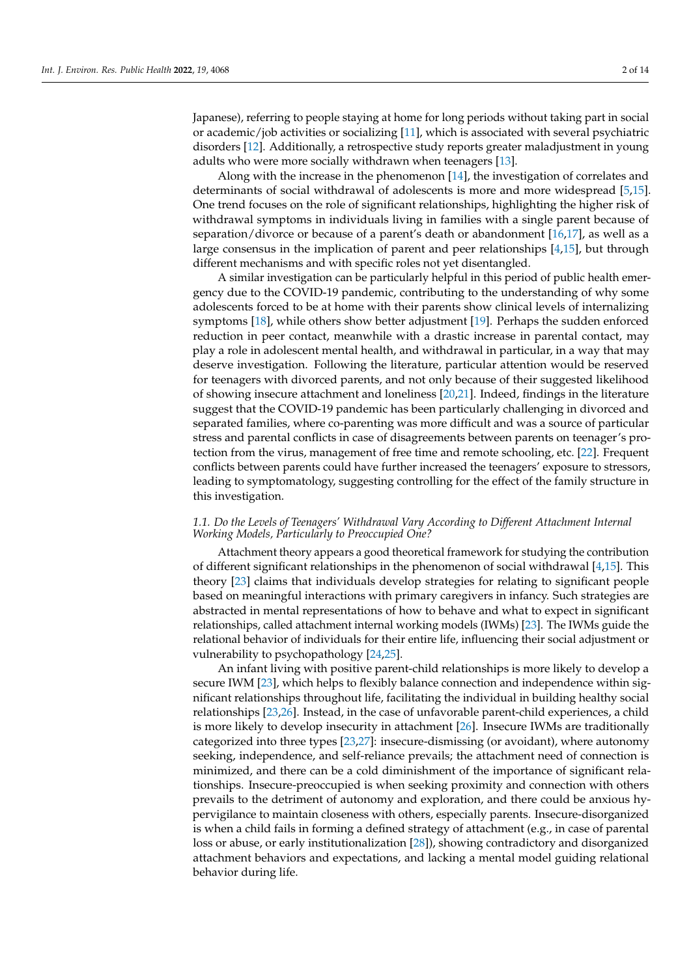Japanese), referring to people staying at home for long periods without taking part in social or academic/job activities or socializing [\[11\]](#page-11-6), which is associated with several psychiatric disorders [\[12\]](#page-11-7). Additionally, a retrospective study reports greater maladjustment in young adults who were more socially withdrawn when teenagers [\[13\]](#page-11-8).

Along with the increase in the phenomenon [\[14\]](#page-11-9), the investigation of correlates and determinants of social withdrawal of adolescents is more and more widespread [\[5,](#page-11-0)[15\]](#page-11-10). One trend focuses on the role of significant relationships, highlighting the higher risk of withdrawal symptoms in individuals living in families with a single parent because of separation/divorce or because of a parent's death or abandonment [\[16](#page-11-11)[,17\]](#page-11-12), as well as a large consensus in the implication of parent and peer relationships [\[4](#page-10-2)[,15\]](#page-11-10), but through different mechanisms and with specific roles not yet disentangled.

A similar investigation can be particularly helpful in this period of public health emergency due to the COVID-19 pandemic, contributing to the understanding of why some adolescents forced to be at home with their parents show clinical levels of internalizing symptoms [\[18\]](#page-11-13), while others show better adjustment [\[19\]](#page-11-14). Perhaps the sudden enforced reduction in peer contact, meanwhile with a drastic increase in parental contact, may play a role in adolescent mental health, and withdrawal in particular, in a way that may deserve investigation. Following the literature, particular attention would be reserved for teenagers with divorced parents, and not only because of their suggested likelihood of showing insecure attachment and loneliness [\[20,](#page-11-15)[21\]](#page-11-16). Indeed, findings in the literature suggest that the COVID-19 pandemic has been particularly challenging in divorced and separated families, where co-parenting was more difficult and was a source of particular stress and parental conflicts in case of disagreements between parents on teenager's protection from the virus, management of free time and remote schooling, etc. [\[22\]](#page-11-17). Frequent conflicts between parents could have further increased the teenagers' exposure to stressors, leading to symptomatology, suggesting controlling for the effect of the family structure in this investigation.

## *1.1. Do the Levels of Teenagers' Withdrawal Vary According to Different Attachment Internal Working Models, Particularly to Preoccupied One?*

Attachment theory appears a good theoretical framework for studying the contribution of different significant relationships in the phenomenon of social withdrawal [\[4,](#page-10-2)[15\]](#page-11-10). This theory [\[23\]](#page-11-18) claims that individuals develop strategies for relating to significant people based on meaningful interactions with primary caregivers in infancy. Such strategies are abstracted in mental representations of how to behave and what to expect in significant relationships, called attachment internal working models (IWMs) [\[23\]](#page-11-18). The IWMs guide the relational behavior of individuals for their entire life, influencing their social adjustment or vulnerability to psychopathology [\[24](#page-11-19)[,25\]](#page-11-20).

An infant living with positive parent-child relationships is more likely to develop a secure IWM [\[23\]](#page-11-18), which helps to flexibly balance connection and independence within significant relationships throughout life, facilitating the individual in building healthy social relationships [\[23,](#page-11-18)[26\]](#page-11-21). Instead, in the case of unfavorable parent-child experiences, a child is more likely to develop insecurity in attachment [\[26\]](#page-11-21). Insecure IWMs are traditionally categorized into three types [\[23](#page-11-18)[,27\]](#page-11-22): insecure-dismissing (or avoidant), where autonomy seeking, independence, and self-reliance prevails; the attachment need of connection is minimized, and there can be a cold diminishment of the importance of significant relationships. Insecure-preoccupied is when seeking proximity and connection with others prevails to the detriment of autonomy and exploration, and there could be anxious hypervigilance to maintain closeness with others, especially parents. Insecure-disorganized is when a child fails in forming a defined strategy of attachment (e.g., in case of parental loss or abuse, or early institutionalization [\[28\]](#page-11-23)), showing contradictory and disorganized attachment behaviors and expectations, and lacking a mental model guiding relational behavior during life.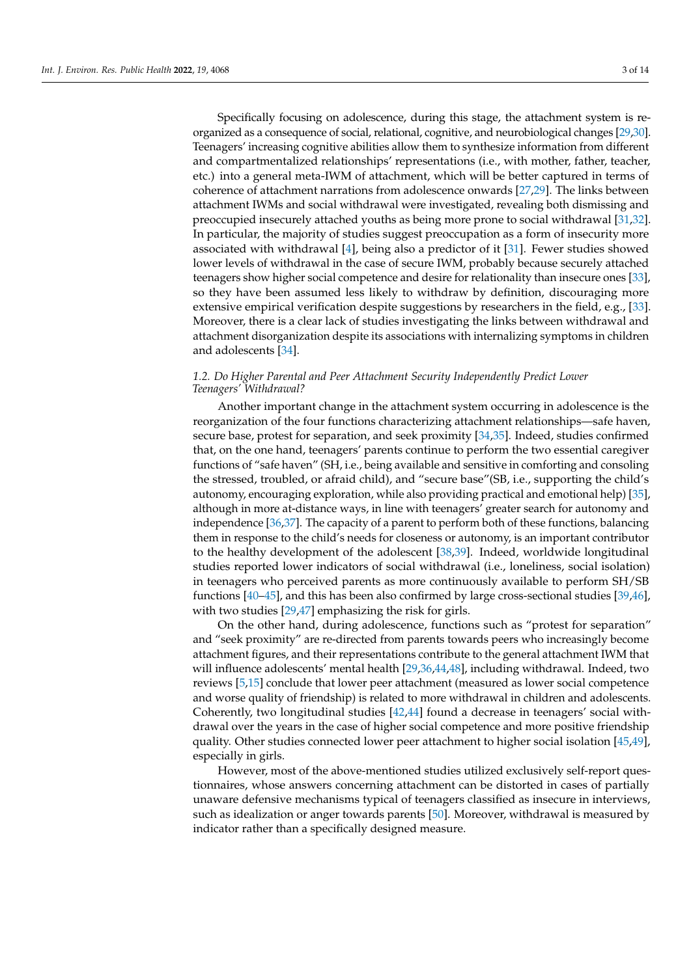Specifically focusing on adolescence, during this stage, the attachment system is reorganized as a consequence of social, relational, cognitive, and neurobiological changes [\[29](#page-11-24)[,30\]](#page-11-25). Teenagers' increasing cognitive abilities allow them to synthesize information from different and compartmentalized relationships' representations (i.e., with mother, father, teacher, etc.) into a general meta-IWM of attachment, which will be better captured in terms of coherence of attachment narrations from adolescence onwards [\[27,](#page-11-22)[29\]](#page-11-24). The links between attachment IWMs and social withdrawal were investigated, revealing both dismissing and preoccupied insecurely attached youths as being more prone to social withdrawal [\[31,](#page-11-26)[32\]](#page-11-27). In particular, the majority of studies suggest preoccupation as a form of insecurity more associated with withdrawal [\[4\]](#page-10-2), being also a predictor of it [\[31\]](#page-11-26). Fewer studies showed lower levels of withdrawal in the case of secure IWM, probably because securely attached teenagers show higher social competence and desire for relationality than insecure ones [\[33\]](#page-12-0), so they have been assumed less likely to withdraw by definition, discouraging more extensive empirical verification despite suggestions by researchers in the field, e.g., [\[33\]](#page-12-0). Moreover, there is a clear lack of studies investigating the links between withdrawal and attachment disorganization despite its associations with internalizing symptoms in children and adolescents [\[34\]](#page-12-1).

## *1.2. Do Higher Parental and Peer Attachment Security Independently Predict Lower Teenagers' Withdrawal?*

Another important change in the attachment system occurring in adolescence is the reorganization of the four functions characterizing attachment relationships—safe haven, secure base, protest for separation, and seek proximity [\[34](#page-12-1)[,35\]](#page-12-2). Indeed, studies confirmed that, on the one hand, teenagers' parents continue to perform the two essential caregiver functions of "safe haven" (SH, i.e., being available and sensitive in comforting and consoling the stressed, troubled, or afraid child), and "secure base"(SB, i.e., supporting the child's autonomy, encouraging exploration, while also providing practical and emotional help) [\[35\]](#page-12-2), although in more at-distance ways, in line with teenagers' greater search for autonomy and independence [\[36](#page-12-3)[,37\]](#page-12-4). The capacity of a parent to perform both of these functions, balancing them in response to the child's needs for closeness or autonomy, is an important contributor to the healthy development of the adolescent [\[38](#page-12-5)[,39\]](#page-12-6). Indeed, worldwide longitudinal studies reported lower indicators of social withdrawal (i.e., loneliness, social isolation) in teenagers who perceived parents as more continuously available to perform SH/SB functions [\[40–](#page-12-7)[45\]](#page-12-8), and this has been also confirmed by large cross-sectional studies [\[39](#page-12-6)[,46\]](#page-12-9), with two studies [\[29](#page-11-24)[,47\]](#page-12-10) emphasizing the risk for girls.

On the other hand, during adolescence, functions such as "protest for separation" and "seek proximity" are re-directed from parents towards peers who increasingly become attachment figures, and their representations contribute to the general attachment IWM that will influence adolescents' mental health [\[29](#page-11-24)[,36](#page-12-3)[,44,](#page-12-11)[48\]](#page-12-12), including withdrawal. Indeed, two reviews [\[5,](#page-11-0)[15\]](#page-11-10) conclude that lower peer attachment (measured as lower social competence and worse quality of friendship) is related to more withdrawal in children and adolescents. Coherently, two longitudinal studies [\[42,](#page-12-13)[44\]](#page-12-11) found a decrease in teenagers' social withdrawal over the years in the case of higher social competence and more positive friendship quality. Other studies connected lower peer attachment to higher social isolation [\[45,](#page-12-8)[49\]](#page-12-14), especially in girls.

However, most of the above-mentioned studies utilized exclusively self-report questionnaires, whose answers concerning attachment can be distorted in cases of partially unaware defensive mechanisms typical of teenagers classified as insecure in interviews, such as idealization or anger towards parents [\[50\]](#page-12-15). Moreover, withdrawal is measured by indicator rather than a specifically designed measure.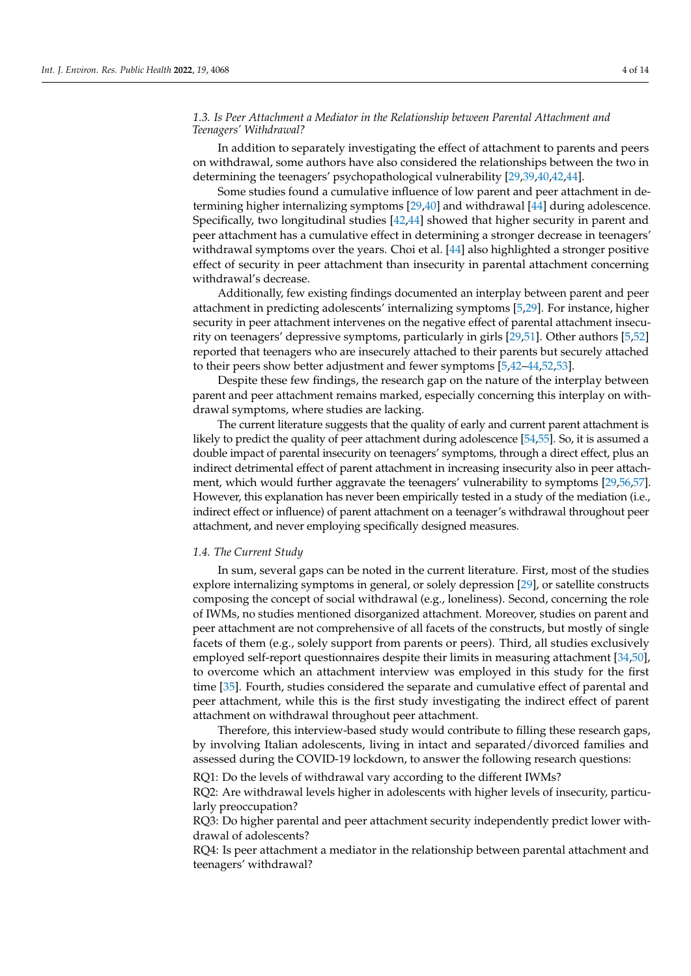## *1.3. Is Peer Attachment a Mediator in the Relationship between Parental Attachment and Teenagers' Withdrawal?*

In addition to separately investigating the effect of attachment to parents and peers on withdrawal, some authors have also considered the relationships between the two in determining the teenagers' psychopathological vulnerability [\[29](#page-11-24)[,39,](#page-12-6)[40,](#page-12-7)[42,](#page-12-13)[44\]](#page-12-11).

Some studies found a cumulative influence of low parent and peer attachment in determining higher internalizing symptoms [\[29,](#page-11-24)[40\]](#page-12-7) and withdrawal [\[44\]](#page-12-11) during adolescence. Specifically, two longitudinal studies [\[42](#page-12-13)[,44\]](#page-12-11) showed that higher security in parent and peer attachment has a cumulative effect in determining a stronger decrease in teenagers' withdrawal symptoms over the years. Choi et al. [\[44\]](#page-12-11) also highlighted a stronger positive effect of security in peer attachment than insecurity in parental attachment concerning withdrawal's decrease.

Additionally, few existing findings documented an interplay between parent and peer attachment in predicting adolescents' internalizing symptoms [\[5](#page-11-0)[,29\]](#page-11-24). For instance, higher security in peer attachment intervenes on the negative effect of parental attachment insecurity on teenagers' depressive symptoms, particularly in girls [\[29,](#page-11-24)[51\]](#page-12-16). Other authors [\[5,](#page-11-0)[52\]](#page-12-17) reported that teenagers who are insecurely attached to their parents but securely attached to their peers show better adjustment and fewer symptoms [\[5,](#page-11-0)[42–](#page-12-13)[44,](#page-12-11)[52](#page-12-17)[,53\]](#page-12-18).

Despite these few findings, the research gap on the nature of the interplay between parent and peer attachment remains marked, especially concerning this interplay on withdrawal symptoms, where studies are lacking.

The current literature suggests that the quality of early and current parent attachment is likely to predict the quality of peer attachment during adolescence [\[54,](#page-12-19)[55\]](#page-12-20). So, it is assumed a double impact of parental insecurity on teenagers' symptoms, through a direct effect, plus an indirect detrimental effect of parent attachment in increasing insecurity also in peer attachment, which would further aggravate the teenagers' vulnerability to symptoms [\[29](#page-11-24)[,56](#page-12-21)[,57\]](#page-12-22). However, this explanation has never been empirically tested in a study of the mediation (i.e., indirect effect or influence) of parent attachment on a teenager's withdrawal throughout peer attachment, and never employing specifically designed measures.

## *1.4. The Current Study*

In sum, several gaps can be noted in the current literature. First, most of the studies explore internalizing symptoms in general, or solely depression [\[29\]](#page-11-24), or satellite constructs composing the concept of social withdrawal (e.g., loneliness). Second, concerning the role of IWMs, no studies mentioned disorganized attachment. Moreover, studies on parent and peer attachment are not comprehensive of all facets of the constructs, but mostly of single facets of them (e.g., solely support from parents or peers). Third, all studies exclusively employed self-report questionnaires despite their limits in measuring attachment [\[34,](#page-12-1)[50\]](#page-12-15), to overcome which an attachment interview was employed in this study for the first time [\[35\]](#page-12-2). Fourth, studies considered the separate and cumulative effect of parental and peer attachment, while this is the first study investigating the indirect effect of parent attachment on withdrawal throughout peer attachment.

Therefore, this interview-based study would contribute to filling these research gaps, by involving Italian adolescents, living in intact and separated/divorced families and assessed during the COVID-19 lockdown, to answer the following research questions:

RQ1: Do the levels of withdrawal vary according to the different IWMs?

RQ2: Are withdrawal levels higher in adolescents with higher levels of insecurity, particularly preoccupation?

RQ3: Do higher parental and peer attachment security independently predict lower withdrawal of adolescents?

RQ4: Is peer attachment a mediator in the relationship between parental attachment and teenagers' withdrawal?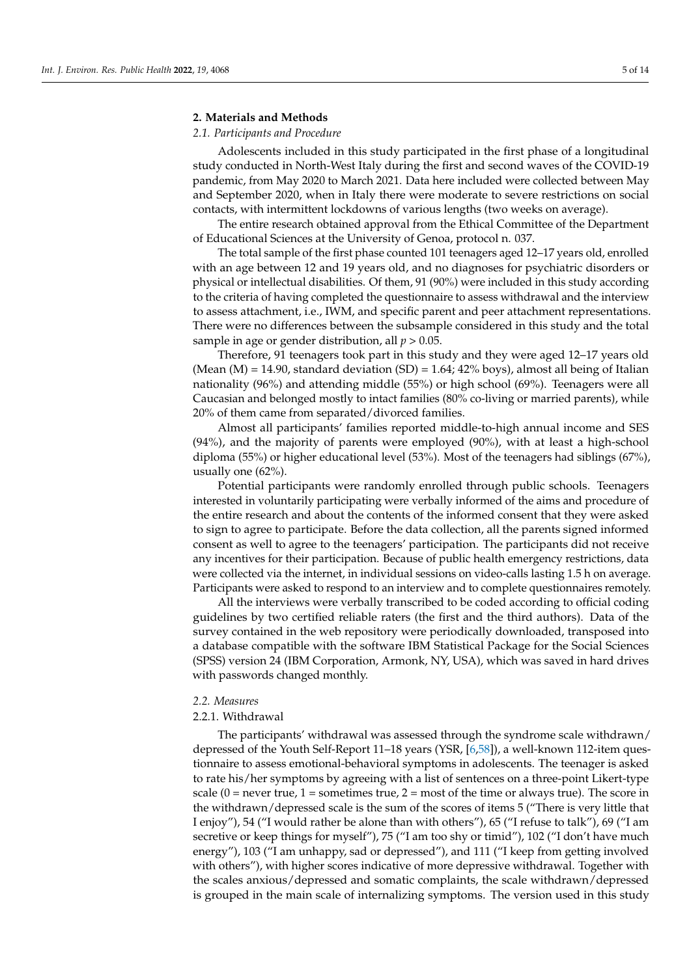## **2. Materials and Methods**

#### *2.1. Participants and Procedure*

Adolescents included in this study participated in the first phase of a longitudinal study conducted in North-West Italy during the first and second waves of the COVID-19 pandemic, from May 2020 to March 2021. Data here included were collected between May and September 2020, when in Italy there were moderate to severe restrictions on social contacts, with intermittent lockdowns of various lengths (two weeks on average).

The entire research obtained approval from the Ethical Committee of the Department of Educational Sciences at the University of Genoa, protocol n. 037.

The total sample of the first phase counted 101 teenagers aged 12–17 years old, enrolled with an age between 12 and 19 years old, and no diagnoses for psychiatric disorders or physical or intellectual disabilities. Of them, 91 (90%) were included in this study according to the criteria of having completed the questionnaire to assess withdrawal and the interview to assess attachment, i.e., IWM, and specific parent and peer attachment representations. There were no differences between the subsample considered in this study and the total sample in age or gender distribution, all *p* > 0.05.

Therefore, 91 teenagers took part in this study and they were aged 12–17 years old (Mean  $(M) = 14.90$ , standard deviation  $(SD) = 1.64$ ; 42% boys), almost all being of Italian nationality (96%) and attending middle (55%) or high school (69%). Teenagers were all Caucasian and belonged mostly to intact families (80% co-living or married parents), while 20% of them came from separated/divorced families.

Almost all participants' families reported middle-to-high annual income and SES (94%), and the majority of parents were employed (90%), with at least a high-school diploma (55%) or higher educational level (53%). Most of the teenagers had siblings (67%), usually one (62%).

Potential participants were randomly enrolled through public schools. Teenagers interested in voluntarily participating were verbally informed of the aims and procedure of the entire research and about the contents of the informed consent that they were asked to sign to agree to participate. Before the data collection, all the parents signed informed consent as well to agree to the teenagers' participation. The participants did not receive any incentives for their participation. Because of public health emergency restrictions, data were collected via the internet, in individual sessions on video-calls lasting 1.5 h on average. Participants were asked to respond to an interview and to complete questionnaires remotely.

All the interviews were verbally transcribed to be coded according to official coding guidelines by two certified reliable raters (the first and the third authors). Data of the survey contained in the web repository were periodically downloaded, transposed into a database compatible with the software IBM Statistical Package for the Social Sciences (SPSS) version 24 (IBM Corporation, Armonk, NY, USA), which was saved in hard drives with passwords changed monthly.

#### *2.2. Measures*

## 2.2.1. Withdrawal

The participants' withdrawal was assessed through the syndrome scale withdrawn/ depressed of the Youth Self-Report 11–18 years (YSR, [\[6](#page-11-1)[,58\]](#page-12-23)), a well-known 112-item questionnaire to assess emotional-behavioral symptoms in adolescents. The teenager is asked to rate his/her symptoms by agreeing with a list of sentences on a three-point Likert-type scale  $(0 =$  never true,  $1 =$  sometimes true,  $2 =$  most of the time or always true). The score in the withdrawn/depressed scale is the sum of the scores of items 5 ("There is very little that I enjoy"), 54 ("I would rather be alone than with others"), 65 ("I refuse to talk"), 69 ("I am secretive or keep things for myself"), 75 ("I am too shy or timid"), 102 ("I don't have much energy"), 103 ("I am unhappy, sad or depressed"), and 111 ("I keep from getting involved with others"), with higher scores indicative of more depressive withdrawal. Together with the scales anxious/depressed and somatic complaints, the scale withdrawn/depressed is grouped in the main scale of internalizing symptoms. The version used in this study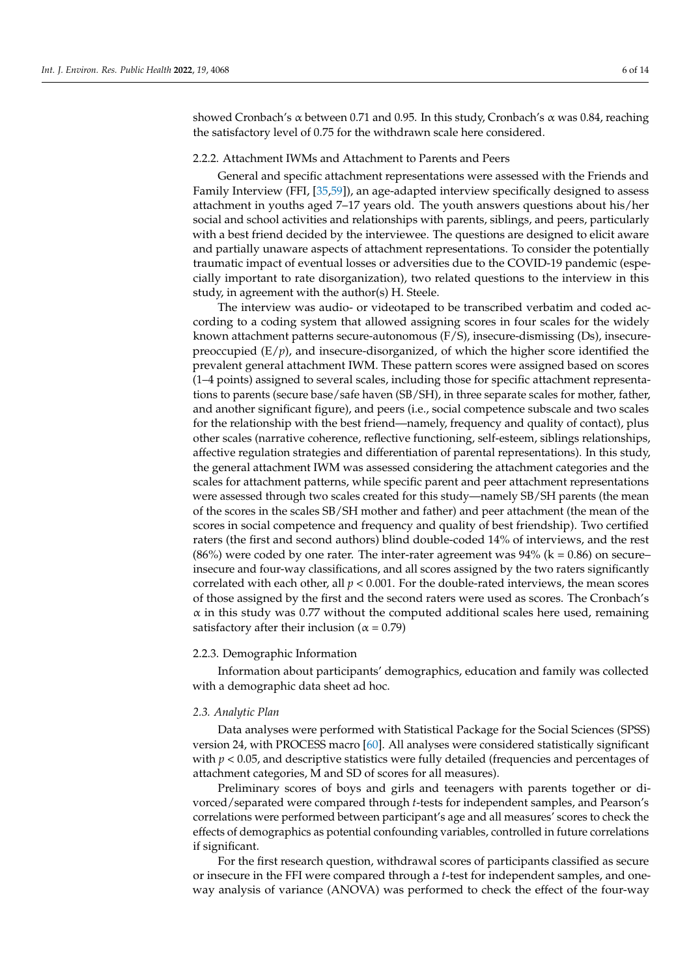showed Cronbach's α between 0.71 and 0.95. In this study, Cronbach's α was 0.84, reaching the satisfactory level of 0.75 for the withdrawn scale here considered.

#### 2.2.2. Attachment IWMs and Attachment to Parents and Peers

General and specific attachment representations were assessed with the Friends and Family Interview (FFI, [\[35](#page-12-2)[,59\]](#page-12-24)), an age-adapted interview specifically designed to assess attachment in youths aged 7–17 years old. The youth answers questions about his/her social and school activities and relationships with parents, siblings, and peers, particularly with a best friend decided by the interviewee. The questions are designed to elicit aware and partially unaware aspects of attachment representations. To consider the potentially traumatic impact of eventual losses or adversities due to the COVID-19 pandemic (especially important to rate disorganization), two related questions to the interview in this study, in agreement with the author(s) H. Steele.

The interview was audio- or videotaped to be transcribed verbatim and coded according to a coding system that allowed assigning scores in four scales for the widely known attachment patterns secure-autonomous (F/S), insecure-dismissing (Ds), insecurepreoccupied  $(E/p)$ , and insecure-disorganized, of which the higher score identified the prevalent general attachment IWM. These pattern scores were assigned based on scores (1–4 points) assigned to several scales, including those for specific attachment representations to parents (secure base/safe haven (SB/SH), in three separate scales for mother, father, and another significant figure), and peers (i.e., social competence subscale and two scales for the relationship with the best friend—namely, frequency and quality of contact), plus other scales (narrative coherence, reflective functioning, self-esteem, siblings relationships, affective regulation strategies and differentiation of parental representations). In this study, the general attachment IWM was assessed considering the attachment categories and the scales for attachment patterns, while specific parent and peer attachment representations were assessed through two scales created for this study—namely SB/SH parents (the mean of the scores in the scales SB/SH mother and father) and peer attachment (the mean of the scores in social competence and frequency and quality of best friendship). Two certified raters (the first and second authors) blind double-coded 14% of interviews, and the rest  $(86%)$  were coded by one rater. The inter-rater agreement was 94% ( $k = 0.86$ ) on secure– insecure and four-way classifications, and all scores assigned by the two raters significantly correlated with each other, all  $p < 0.001$ . For the double-rated interviews, the mean scores of those assigned by the first and the second raters were used as scores. The Cronbach's  $\alpha$  in this study was 0.77 without the computed additional scales here used, remaining satisfactory after their inclusion ( $\alpha$  = 0.79)

#### 2.2.3. Demographic Information

Information about participants' demographics, education and family was collected with a demographic data sheet ad hoc.

#### *2.3. Analytic Plan*

Data analyses were performed with Statistical Package for the Social Sciences (SPSS) version 24, with PROCESS macro [\[60\]](#page-13-0). All analyses were considered statistically significant with  $p < 0.05$ , and descriptive statistics were fully detailed (frequencies and percentages of attachment categories, M and SD of scores for all measures).

Preliminary scores of boys and girls and teenagers with parents together or divorced/separated were compared through *t*-tests for independent samples, and Pearson's correlations were performed between participant's age and all measures' scores to check the effects of demographics as potential confounding variables, controlled in future correlations if significant.

For the first research question, withdrawal scores of participants classified as secure or insecure in the FFI were compared through a *t*-test for independent samples, and oneway analysis of variance (ANOVA) was performed to check the effect of the four-way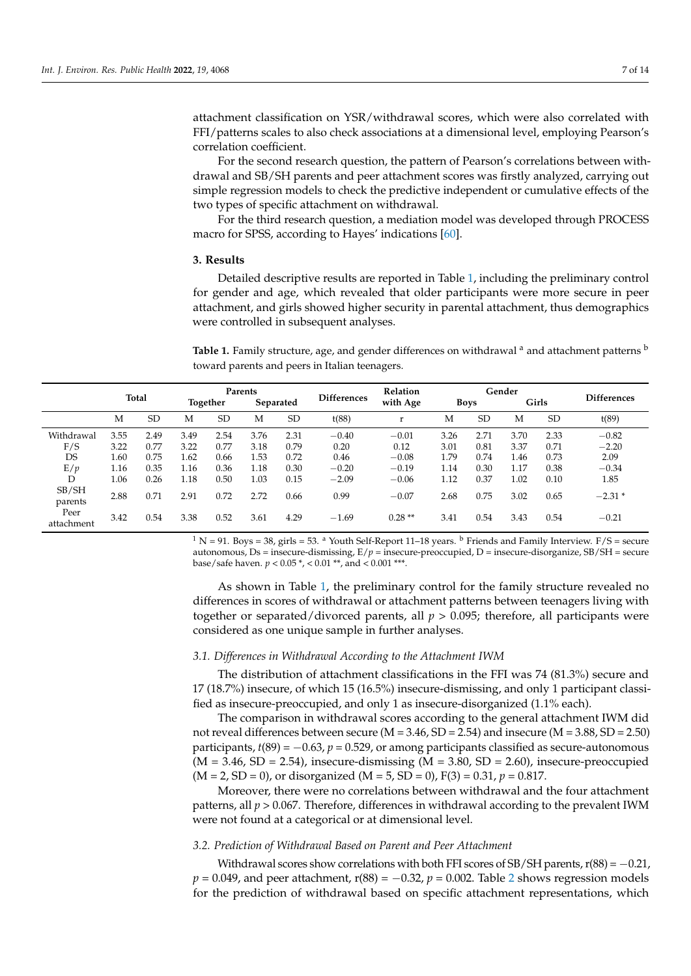attachment classification on YSR/withdrawal scores, which were also correlated with FFI/patterns scales to also check associations at a dimensional level, employing Pearson's correlation coefficient.

For the second research question, the pattern of Pearson's correlations between withdrawal and SB/SH parents and peer attachment scores was firstly analyzed, carrying out simple regression models to check the predictive independent or cumulative effects of the two types of specific attachment on withdrawal.

For the third research question, a mediation model was developed through PROCESS macro for SPSS, according to Hayes' indications [\[60\]](#page-13-0).

## **3. Results**

Detailed descriptive results are reported in Table [1,](#page-6-0) including the preliminary control for gender and age, which revealed that older participants were more secure in peer attachment, and girls showed higher security in parental attachment, thus demographics were controlled in subsequent analyses.

<span id="page-6-0"></span>Table 1. Family structure, age, and gender differences on withdrawal <sup>a</sup> and attachment patterns <sup>b</sup> toward parents and peers in Italian teenagers.

|                    | <b>Total</b> |           | Parents  |           |           |           |                    | <b>Relation</b> | Gender |             |      |           |                    |
|--------------------|--------------|-----------|----------|-----------|-----------|-----------|--------------------|-----------------|--------|-------------|------|-----------|--------------------|
|                    |              |           | Together |           | Separated |           | <b>Differences</b> | with Age        |        | <b>Boys</b> |      | Girls     | <b>Differences</b> |
|                    | M            | <b>SD</b> | M        | <b>SD</b> | M         | <b>SD</b> | t(88)              | r               | М      | <b>SD</b>   | M    | <b>SD</b> | t(89)              |
| Withdrawal         | 3.55         | 2.49      | 3.49     | 2.54      | 3.76      | 2.31      | $-0.40$            | $-0.01$         | 3.26   | 2.71        | 3.70 | 2.33      | $-0.82$            |
| F/S                | 3.22         | 0.77      | 3.22     | 0.77      | 3.18      | 0.79      | 0.20               | 0.12            | 3.01   | 0.81        | 3.37 | 0.71      | $-2.20$            |
| DS                 | 1.60         | 0.75      | 1.62     | 0.66      | 1.53      | 0.72      | 0.46               | $-0.08$         | 1.79   | 0.74        | 1.46 | 0.73      | 2.09               |
| E/p                | 1.16         | 0.35      | 1.16     | 0.36      | 1.18      | 0.30      | $-0.20$            | $-0.19$         | 1.14   | 0.30        | 1.17 | 0.38      | $-0.34$            |
| D                  | 1.06         | 0.26      | 1.18     | 0.50      | 1.03      | 0.15      | $-2.09$            | $-0.06$         | 1.12   | 0.37        | 1.02 | 0.10      | 1.85               |
| SB/SH<br>parents   | 2.88         | 0.71      | 2.91     | 0.72      | 2.72      | 0.66      | 0.99               | $-0.07$         | 2.68   | 0.75        | 3.02 | 0.65      | $-2.31*$           |
| Peer<br>attachment | 3.42         | 0.54      | 3.38     | 0.52      | 3.61      | 4.29      | $-1.69$            | $0.28**$        | 3.41   | 0.54        | 3.43 | 0.54      | $-0.21$            |

 $1 N = 91$ . Boys = 38, girls = 53. <sup>a</sup> Youth Self-Report 11–18 years. <sup>b</sup> Friends and Family Interview. F/S = secure autonomous, Ds = insecure-dismissing,  $E/p$  = insecure-preoccupied, D = insecure-disorganize, SB/SH = secure base/safe haven. *p* < 0.05 \*, < 0.01 \*\*, and < 0.001 \*\*\*.

As shown in Table [1,](#page-6-0) the preliminary control for the family structure revealed no differences in scores of withdrawal or attachment patterns between teenagers living with together or separated/divorced parents, all  $p > 0.095$ ; therefore, all participants were considered as one unique sample in further analyses.

## *3.1. Differences in Withdrawal According to the Attachment IWM*

The distribution of attachment classifications in the FFI was 74 (81.3%) secure and 17 (18.7%) insecure, of which 15 (16.5%) insecure-dismissing, and only 1 participant classified as insecure-preoccupied, and only 1 as insecure-disorganized (1.1% each).

The comparison in withdrawal scores according to the general attachment IWM did not reveal differences between secure ( $M = 3.46$ ,  $SD = 2.54$ ) and insecure ( $M = 3.88$ ,  $SD = 2.50$ ) participants,  $t(89) = -0.63$ ,  $p = 0.529$ , or among participants classified as secure-autonomous  $(M = 3.46, SD = 2.54)$ , insecure-dismissing  $(M = 3.80, SD = 2.60)$ , insecure-preoccupied (M = 2, SD = 0), or disorganized (M = 5, SD = 0), F(3) = 0.31, *p* = 0.817.

Moreover, there were no correlations between withdrawal and the four attachment patterns, all *p* > 0.067. Therefore, differences in withdrawal according to the prevalent IWM were not found at a categorical or at dimensional level.

## *3.2. Prediction of Withdrawal Based on Parent and Peer Attachment*

Withdrawal scores show correlations with both FFI scores of SB/SH parents,  $r(88) = -0.21$ , *p* = 0.049, and peer attachment, r(88) = −0.3[2](#page-7-0), *p* = 0.002. Table 2 shows regression models for the prediction of withdrawal based on specific attachment representations, which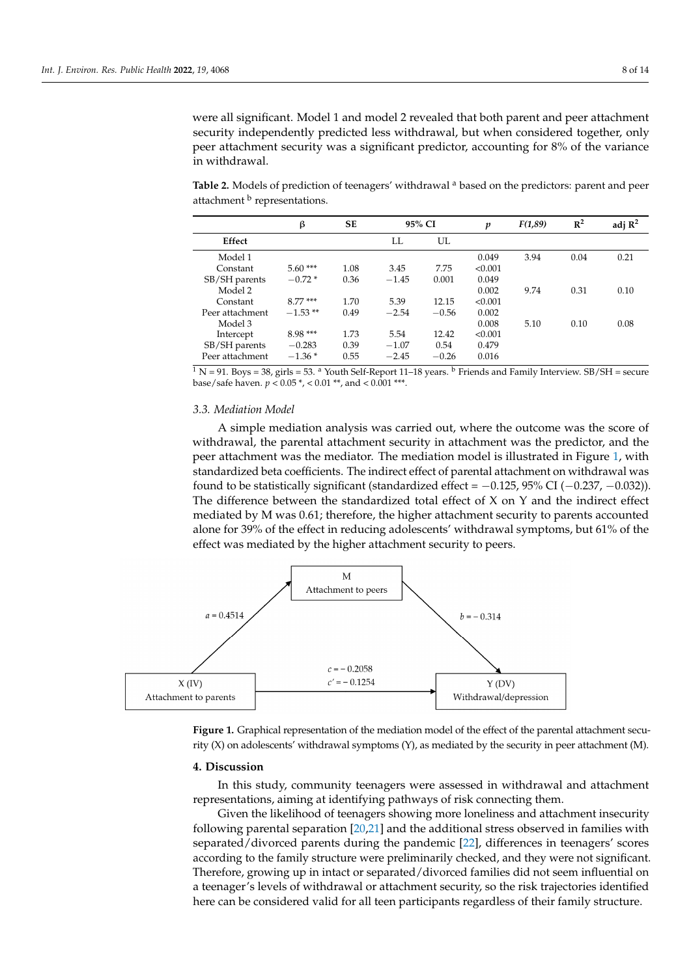were all significant. Model 1 and model 2 revealed that both parent and peer attachment security independently predicted less withdrawal, but when considered together, only peer attachment security was a significant predictor, accounting for 8% of the variance in withdrawal.

<span id="page-7-0"></span>**Table 2.** Models of prediction of teenagers' withdrawal <sup>a</sup> based on the predictors: parent and peer attachment <sup>b</sup> representations.

|                 | β          | SЕ   |         | 95% CI  | p       | F(1,89) | $\mathbb{R}^2$ | adj $\mathbb{R}^2$ |
|-----------------|------------|------|---------|---------|---------|---------|----------------|--------------------|
| Effect          |            |      | LL.     | UL      |         |         |                |                    |
| Model 1         |            |      |         |         | 0.049   | 3.94    | 0.04           | 0.21               |
| Constant        | $5.60***$  | 1.08 | 3.45    | 7.75    | < 0.001 |         |                |                    |
| SB/SH parents   | $-0.72*$   | 0.36 | $-1.45$ | 0.001   | 0.049   |         |                |                    |
| Model 2         |            |      |         |         | 0.002   | 9.74    | 0.31           | 0.10               |
| Constant        | $8.77***$  | 1.70 | 5.39    | 12.15   | < 0.001 |         |                |                    |
| Peer attachment | $-1.53$ ** | 0.49 | $-2.54$ | $-0.56$ | 0.002   |         |                |                    |
| Model 3         |            |      |         |         | 0.008   | 5.10    | 0.10           | 0.08               |
| Intercept       | $8.98***$  | 1.73 | 5.54    | 12.42   | < 0.001 |         |                |                    |
| SB/SH parents   | $-0.283$   | 0.39 | $-1.07$ | 0.54    | 0.479   |         |                |                    |
| Peer attachment | $-1.36*$   | 0.55 | $-2.45$ | $-0.26$ | 0.016   |         |                |                    |

 $\frac{1}{1}$  N = 91. Boys = 38, girls = 53. <sup>a</sup> Youth Self-Report 11–18 years. <sup>b</sup> Friends and Family Interview. SB/SH = secure base/safe haven. *p* < 0.05 \*, < 0.01 \*\*, and < 0.001 \*\*\*.

#### *3.3. Mediation Model*  $\alpha$  simple mediation and  $\alpha$  simple was carried outcome was the score of outcome was the score of  $\alpha$

A simple mediation analysis was carried out, where the outcome was the score of withdrawal, the parental attachment security in attachment was the predictor, and the peer attachment was the mediator. The mediation model is illustrated in Figure 1, with standardized beta coefficients. The indirect effect of parental attachment on withdrawal was found to be statistically significant (standardized effect =  $-0.125$ , 95% CI ( $-0.237$ ,  $-0.032$ )). The difference between the standardized total effect of  $X$  on  $Y$  and the indirect effect mediated by M was 0.61; therefore, the higher attachment security to parents accounted alone for 39% of the effect in reducing adolescents' withdrawal symptoms, but 61% of the  $\,$ effect was mediated by the higher attachment security to peers.

<span id="page-7-1"></span>

**Figure 1.** Graphical representation of the mediation model of the effect of the parental attachment **Figure 1.** Graphical representation of the mediation model of the effect of the parental attachment security (X) on adolescents' withdrawal symptoms (Y), as mediated by the security in peer attachment (M).

## 4. Discussion

In this study, community teenagers were assessed in withdrawal and attachment representations, aiming at identifying pathways of risk connecting them.

Given the likelihood of teenagers showing more loneliness and attachment insecurity following parental separation [\[20](#page-11-15)[,21\]](#page-11-16) and the additional stress observed in families with separated/divorced parents during the pandemic [\[22\]](#page-11-17), differences in teenagers' scores according to the family structure were preliminarily checked, and they were not significant. Therefore, growing up in intact or separated/divorced families did not seem influential on a teenager's levels of withdrawal or attachment security, so the risk trajectories identified here can be considered valid for all teen participants regardless of their family structure.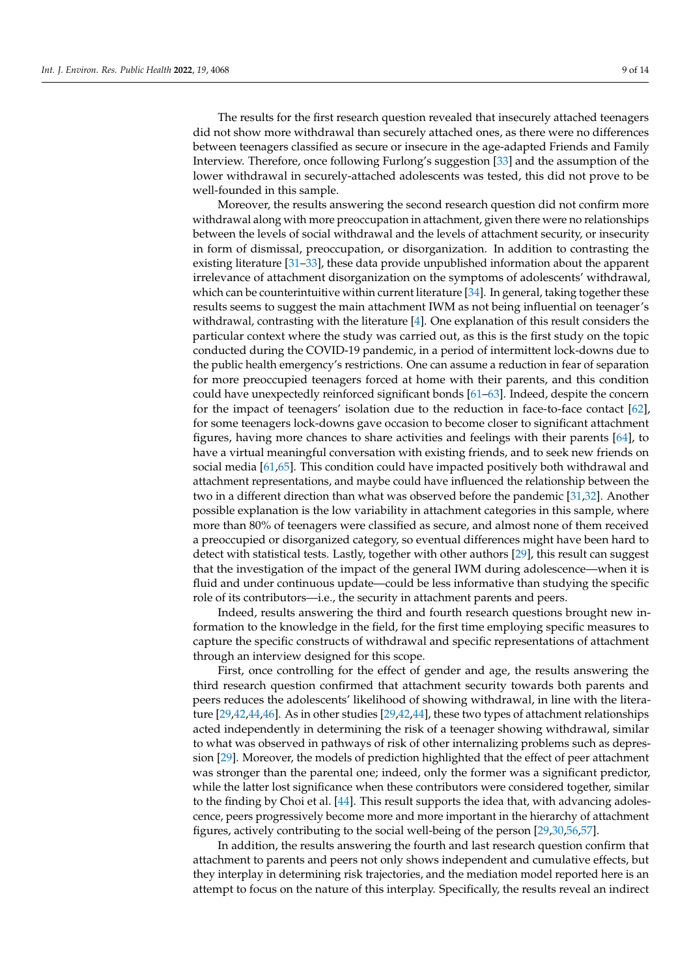The results for the first research question revealed that insecurely attached teenagers did not show more withdrawal than securely attached ones, as there were no differences between teenagers classified as secure or insecure in the age-adapted Friends and Family Interview. Therefore, once following Furlong's suggestion [\[33\]](#page-12-0) and the assumption of the lower withdrawal in securely-attached adolescents was tested, this did not prove to be well-founded in this sample.

Moreover, the results answering the second research question did not confirm more withdrawal along with more preoccupation in attachment, given there were no relationships between the levels of social withdrawal and the levels of attachment security, or insecurity in form of dismissal, preoccupation, or disorganization. In addition to contrasting the existing literature [\[31–](#page-11-26)[33\]](#page-12-0), these data provide unpublished information about the apparent irrelevance of attachment disorganization on the symptoms of adolescents' withdrawal, which can be counterintuitive within current literature  $[34]$ . In general, taking together these results seems to suggest the main attachment IWM as not being influential on teenager's withdrawal, contrasting with the literature [\[4\]](#page-10-2). One explanation of this result considers the particular context where the study was carried out, as this is the first study on the topic conducted during the COVID-19 pandemic, in a period of intermittent lock-downs due to the public health emergency's restrictions. One can assume a reduction in fear of separation for more preoccupied teenagers forced at home with their parents, and this condition could have unexpectedly reinforced significant bonds [\[61](#page-13-1)[–63\]](#page-13-2). Indeed, despite the concern for the impact of teenagers' isolation due to the reduction in face-to-face contact [\[62\]](#page-13-3), for some teenagers lock-downs gave occasion to become closer to significant attachment figures, having more chances to share activities and feelings with their parents [\[64\]](#page-13-4), to have a virtual meaningful conversation with existing friends, and to seek new friends on social media [\[61,](#page-13-1)[65\]](#page-13-5). This condition could have impacted positively both withdrawal and attachment representations, and maybe could have influenced the relationship between the two in a different direction than what was observed before the pandemic [\[31,](#page-11-26)[32\]](#page-11-27). Another possible explanation is the low variability in attachment categories in this sample, where more than 80% of teenagers were classified as secure, and almost none of them received a preoccupied or disorganized category, so eventual differences might have been hard to detect with statistical tests. Lastly, together with other authors [\[29\]](#page-11-24), this result can suggest that the investigation of the impact of the general IWM during adolescence—when it is fluid and under continuous update—could be less informative than studying the specific role of its contributors—i.e., the security in attachment parents and peers.

Indeed, results answering the third and fourth research questions brought new information to the knowledge in the field, for the first time employing specific measures to capture the specific constructs of withdrawal and specific representations of attachment through an interview designed for this scope.

First, once controlling for the effect of gender and age, the results answering the third research question confirmed that attachment security towards both parents and peers reduces the adolescents' likelihood of showing withdrawal, in line with the literature [\[29,](#page-11-24)[42,](#page-12-13)[44,](#page-12-11)[46\]](#page-12-9). As in other studies [\[29](#page-11-24)[,42](#page-12-13)[,44\]](#page-12-11), these two types of attachment relationships acted independently in determining the risk of a teenager showing withdrawal, similar to what was observed in pathways of risk of other internalizing problems such as depression [\[29\]](#page-11-24). Moreover, the models of prediction highlighted that the effect of peer attachment was stronger than the parental one; indeed, only the former was a significant predictor, while the latter lost significance when these contributors were considered together, similar to the finding by Choi et al. [\[44\]](#page-12-11). This result supports the idea that, with advancing adolescence, peers progressively become more and more important in the hierarchy of attachment figures, actively contributing to the social well-being of the person [\[29](#page-11-24)[,30](#page-11-25)[,56](#page-12-21)[,57\]](#page-12-22).

In addition, the results answering the fourth and last research question confirm that attachment to parents and peers not only shows independent and cumulative effects, but they interplay in determining risk trajectories, and the mediation model reported here is an attempt to focus on the nature of this interplay. Specifically, the results reveal an indirect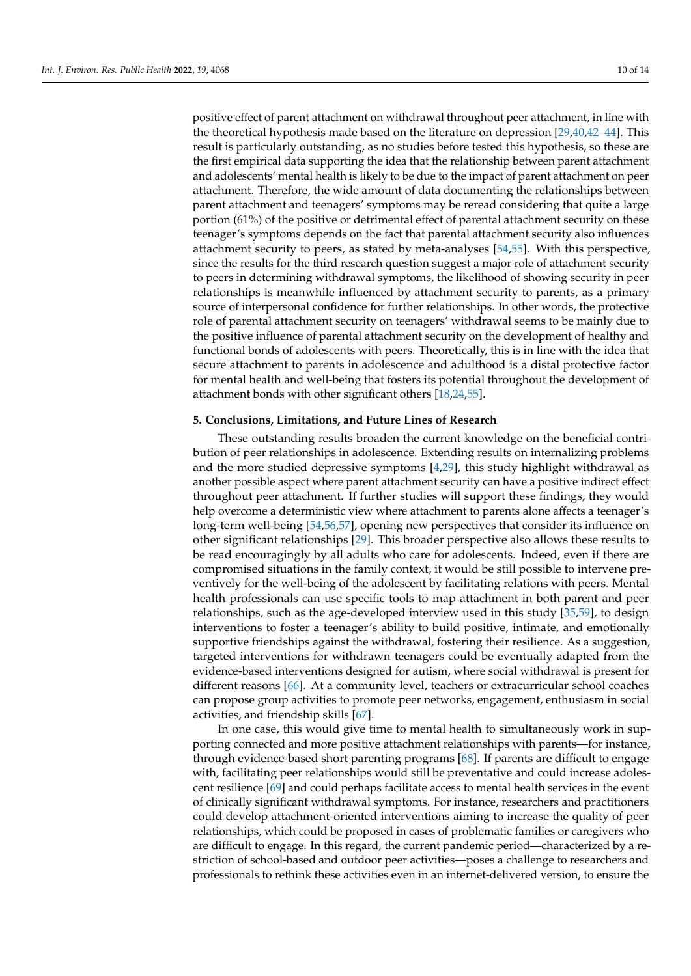positive effect of parent attachment on withdrawal throughout peer attachment, in line with the theoretical hypothesis made based on the literature on depression [\[29,](#page-11-24)[40,](#page-12-7)[42](#page-12-13)[–44\]](#page-12-11). This result is particularly outstanding, as no studies before tested this hypothesis, so these are the first empirical data supporting the idea that the relationship between parent attachment and adolescents' mental health is likely to be due to the impact of parent attachment on peer attachment. Therefore, the wide amount of data documenting the relationships between parent attachment and teenagers' symptoms may be reread considering that quite a large portion (61%) of the positive or detrimental effect of parental attachment security on these teenager's symptoms depends on the fact that parental attachment security also influences attachment security to peers, as stated by meta-analyses [\[54](#page-12-19)[,55\]](#page-12-20). With this perspective, since the results for the third research question suggest a major role of attachment security to peers in determining withdrawal symptoms, the likelihood of showing security in peer relationships is meanwhile influenced by attachment security to parents, as a primary source of interpersonal confidence for further relationships. In other words, the protective role of parental attachment security on teenagers' withdrawal seems to be mainly due to the positive influence of parental attachment security on the development of healthy and functional bonds of adolescents with peers. Theoretically, this is in line with the idea that secure attachment to parents in adolescence and adulthood is a distal protective factor for mental health and well-being that fosters its potential throughout the development of attachment bonds with other significant others [\[18,](#page-11-13)[24,](#page-11-19)[55\]](#page-12-20).

### **5. Conclusions, Limitations, and Future Lines of Research**

These outstanding results broaden the current knowledge on the beneficial contribution of peer relationships in adolescence. Extending results on internalizing problems and the more studied depressive symptoms [\[4,](#page-10-2)[29\]](#page-11-24), this study highlight withdrawal as another possible aspect where parent attachment security can have a positive indirect effect throughout peer attachment. If further studies will support these findings, they would help overcome a deterministic view where attachment to parents alone affects a teenager's long-term well-being [\[54,](#page-12-19)[56](#page-12-21)[,57\]](#page-12-22), opening new perspectives that consider its influence on other significant relationships [\[29\]](#page-11-24). This broader perspective also allows these results to be read encouragingly by all adults who care for adolescents. Indeed, even if there are compromised situations in the family context, it would be still possible to intervene preventively for the well-being of the adolescent by facilitating relations with peers. Mental health professionals can use specific tools to map attachment in both parent and peer relationships, such as the age-developed interview used in this study [\[35,](#page-12-2)[59\]](#page-12-24), to design interventions to foster a teenager's ability to build positive, intimate, and emotionally supportive friendships against the withdrawal, fostering their resilience. As a suggestion, targeted interventions for withdrawn teenagers could be eventually adapted from the evidence-based interventions designed for autism, where social withdrawal is present for different reasons [\[66\]](#page-13-6). At a community level, teachers or extracurricular school coaches can propose group activities to promote peer networks, engagement, enthusiasm in social activities, and friendship skills [\[67\]](#page-13-7).

In one case, this would give time to mental health to simultaneously work in supporting connected and more positive attachment relationships with parents—for instance, through evidence-based short parenting programs [\[68\]](#page-13-8). If parents are difficult to engage with, facilitating peer relationships would still be preventative and could increase adolescent resilience [\[69\]](#page-13-9) and could perhaps facilitate access to mental health services in the event of clinically significant withdrawal symptoms. For instance, researchers and practitioners could develop attachment-oriented interventions aiming to increase the quality of peer relationships, which could be proposed in cases of problematic families or caregivers who are difficult to engage. In this regard, the current pandemic period—characterized by a restriction of school-based and outdoor peer activities—poses a challenge to researchers and professionals to rethink these activities even in an internet-delivered version, to ensure the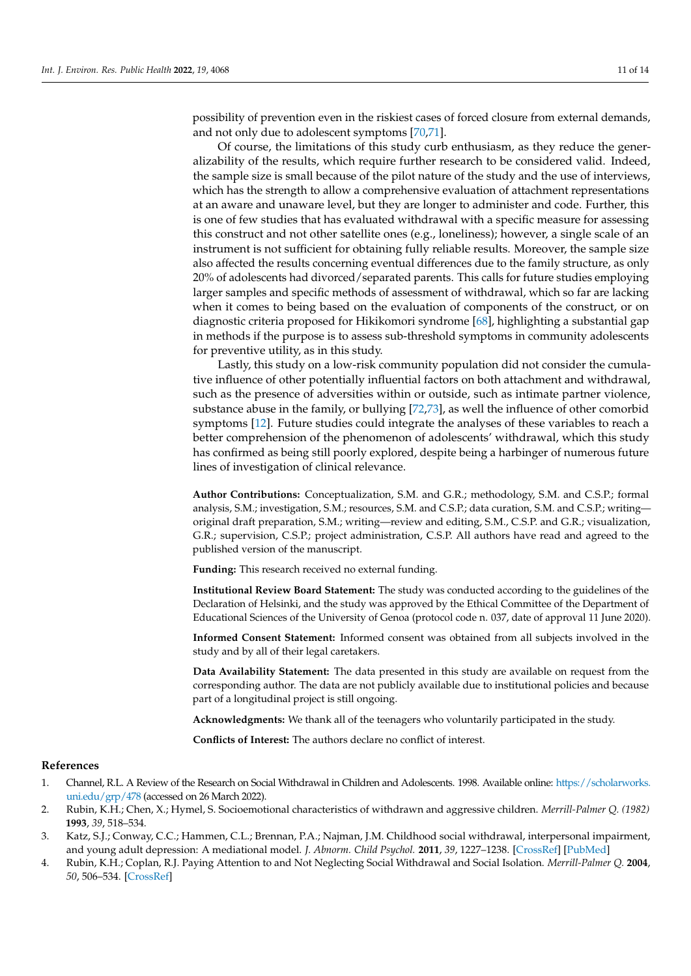possibility of prevention even in the riskiest cases of forced closure from external demands, and not only due to adolescent symptoms [\[70,](#page-13-10)[71\]](#page-13-11).

Of course, the limitations of this study curb enthusiasm, as they reduce the generalizability of the results, which require further research to be considered valid. Indeed, the sample size is small because of the pilot nature of the study and the use of interviews, which has the strength to allow a comprehensive evaluation of attachment representations at an aware and unaware level, but they are longer to administer and code. Further, this is one of few studies that has evaluated withdrawal with a specific measure for assessing this construct and not other satellite ones (e.g., loneliness); however, a single scale of an instrument is not sufficient for obtaining fully reliable results. Moreover, the sample size also affected the results concerning eventual differences due to the family structure, as only 20% of adolescents had divorced/separated parents. This calls for future studies employing larger samples and specific methods of assessment of withdrawal, which so far are lacking when it comes to being based on the evaluation of components of the construct, or on diagnostic criteria proposed for Hikikomori syndrome [\[68\]](#page-13-8), highlighting a substantial gap in methods if the purpose is to assess sub-threshold symptoms in community adolescents for preventive utility, as in this study.

Lastly, this study on a low-risk community population did not consider the cumulative influence of other potentially influential factors on both attachment and withdrawal, such as the presence of adversities within or outside, such as intimate partner violence, substance abuse in the family, or bullying [\[72,](#page-13-12)[73\]](#page-13-13), as well the influence of other comorbid symptoms [\[12\]](#page-11-7). Future studies could integrate the analyses of these variables to reach a better comprehension of the phenomenon of adolescents' withdrawal, which this study has confirmed as being still poorly explored, despite being a harbinger of numerous future lines of investigation of clinical relevance.

**Author Contributions:** Conceptualization, S.M. and G.R.; methodology, S.M. and C.S.P.; formal analysis, S.M.; investigation, S.M.; resources, S.M. and C.S.P.; data curation, S.M. and C.S.P.; writing original draft preparation, S.M.; writing—review and editing, S.M., C.S.P. and G.R.; visualization, G.R.; supervision, C.S.P.; project administration, C.S.P. All authors have read and agreed to the published version of the manuscript.

**Funding:** This research received no external funding.

**Institutional Review Board Statement:** The study was conducted according to the guidelines of the Declaration of Helsinki, and the study was approved by the Ethical Committee of the Department of Educational Sciences of the University of Genoa (protocol code n. 037, date of approval 11 June 2020).

**Informed Consent Statement:** Informed consent was obtained from all subjects involved in the study and by all of their legal caretakers.

**Data Availability Statement:** The data presented in this study are available on request from the corresponding author. The data are not publicly available due to institutional policies and because part of a longitudinal project is still ongoing.

**Acknowledgments:** We thank all of the teenagers who voluntarily participated in the study.

**Conflicts of Interest:** The authors declare no conflict of interest.

## **References**

- <span id="page-10-0"></span>1. Channel, R.L. A Review of the Research on Social Withdrawal in Children and Adolescents. 1998. Available online: [https://scholarworks.](https://scholarworks.uni.edu/grp/478) [uni.edu/grp/478](https://scholarworks.uni.edu/grp/478) (accessed on 26 March 2022).
- 2. Rubin, K.H.; Chen, X.; Hymel, S. Socioemotional characteristics of withdrawn and aggressive children. *Merrill-Palmer Q. (1982)* **1993**, *39*, 518–534.
- <span id="page-10-1"></span>3. Katz, S.J.; Conway, C.C.; Hammen, C.L.; Brennan, P.A.; Najman, J.M. Childhood social withdrawal, interpersonal impairment, and young adult depression: A mediational model. *J. Abnorm. Child Psychol.* **2011**, *39*, 1227–1238. [\[CrossRef\]](http://doi.org/10.1007/s10802-011-9537-z) [\[PubMed\]](http://www.ncbi.nlm.nih.gov/pubmed/21744059)
- <span id="page-10-2"></span>4. Rubin, K.H.; Coplan, R.J. Paying Attention to and Not Neglecting Social Withdrawal and Social Isolation. *Merrill-Palmer Q.* **2004**, *50*, 506–534. [\[CrossRef\]](http://doi.org/10.1353/mpq.2004.0036)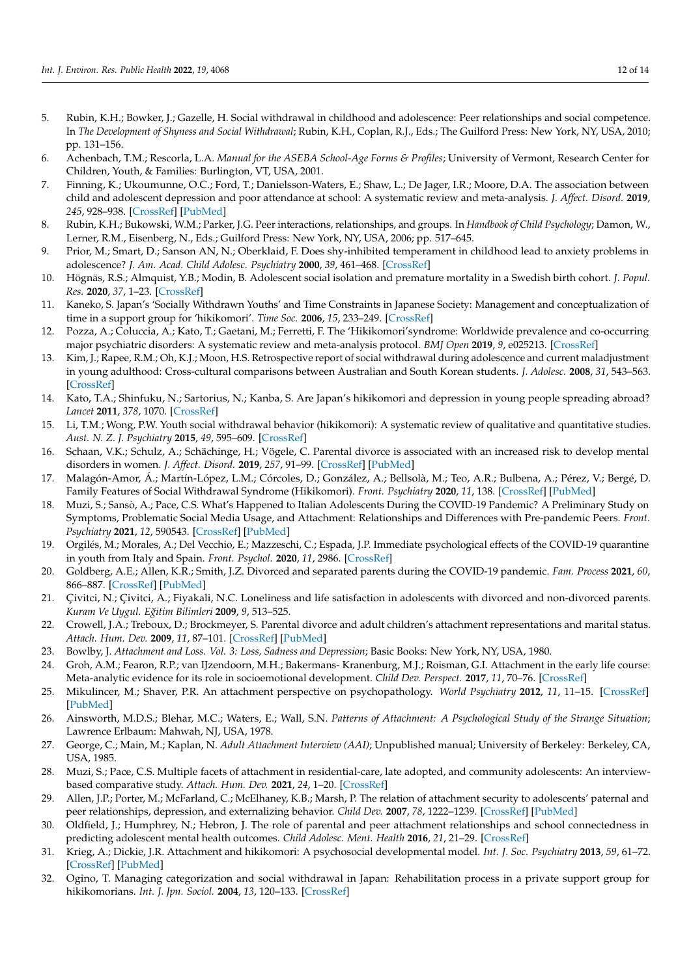- <span id="page-11-0"></span>5. Rubin, K.H.; Bowker, J.; Gazelle, H. Social withdrawal in childhood and adolescence: Peer relationships and social competence. In *The Development of Shyness and Social Withdrawal*; Rubin, K.H., Coplan, R.J., Eds.; The Guilford Press: New York, NY, USA, 2010; pp. 131–156.
- <span id="page-11-1"></span>6. Achenbach, T.M.; Rescorla, L.A. *Manual for the ASEBA School-Age Forms & Profiles*; University of Vermont, Research Center for Children, Youth, & Families: Burlington, VT, USA, 2001.
- <span id="page-11-2"></span>7. Finning, K.; Ukoumunne, O.C.; Ford, T.; Danielsson-Waters, E.; Shaw, L.; De Jager, I.R.; Moore, D.A. The association between child and adolescent depression and poor attendance at school: A systematic review and meta-analysis. *J. Affect. Disord.* **2019**, *245*, 928–938. [\[CrossRef\]](http://doi.org/10.1016/j.jad.2018.11.055) [\[PubMed\]](http://www.ncbi.nlm.nih.gov/pubmed/30699878)
- <span id="page-11-3"></span>8. Rubin, K.H.; Bukowski, W.M.; Parker, J.G. Peer interactions, relationships, and groups. In *Handbook of Child Psychology*; Damon, W., Lerner, R.M., Eisenberg, N., Eds.; Guilford Press: New York, NY, USA, 2006; pp. 517–645.
- <span id="page-11-4"></span>9. Prior, M.; Smart, D.; Sanson AN, N.; Oberklaid, F. Does shy-inhibited temperament in childhood lead to anxiety problems in adolescence? *J. Am. Acad. Child Adolesc. Psychiatry* **2000**, *39*, 461–468. [\[CrossRef\]](http://doi.org/10.1097/00004583-200004000-00015)
- <span id="page-11-5"></span>10. Högnäs, R.S.; Almquist, Y.B.; Modin, B. Adolescent social isolation and premature mortality in a Swedish birth cohort. *J. Popul. Res.* **2020**, *37*, 1–23. [\[CrossRef\]](http://doi.org/10.1007/s12546-019-09237-6)
- <span id="page-11-6"></span>11. Kaneko, S. Japan's 'Socially Withdrawn Youths' and Time Constraints in Japanese Society: Management and conceptualization of time in a support group for 'hikikomori'. *Time Soc.* **2006**, *15*, 233–249. [\[CrossRef\]](http://doi.org/10.1177/0961463X06067034)
- <span id="page-11-7"></span>12. Pozza, A.; Coluccia, A.; Kato, T.; Gaetani, M.; Ferretti, F. The 'Hikikomori'syndrome: Worldwide prevalence and co-occurring major psychiatric disorders: A systematic review and meta-analysis protocol. *BMJ Open* **2019**, *9*, e025213. [\[CrossRef\]](http://doi.org/10.1136/bmjopen-2018-025213)
- <span id="page-11-8"></span>13. Kim, J.; Rapee, R.M.; Oh, K.J.; Moon, H.S. Retrospective report of social withdrawal during adolescence and current maladjustment in young adulthood: Cross-cultural comparisons between Australian and South Korean students. *J. Adolesc.* **2008**, *31*, 543–563. [\[CrossRef\]](http://doi.org/10.1016/j.adolescence.2007.10.011)
- <span id="page-11-9"></span>14. Kato, T.A.; Shinfuku, N.; Sartorius, N.; Kanba, S. Are Japan's hikikomori and depression in young people spreading abroad? *Lancet* **2011**, *378*, 1070. [\[CrossRef\]](http://doi.org/10.1016/S0140-6736(11)61475-X)
- <span id="page-11-10"></span>15. Li, T.M.; Wong, P.W. Youth social withdrawal behavior (hikikomori): A systematic review of qualitative and quantitative studies. *Aust. N. Z. J. Psychiatry* **2015**, *49*, 595–609. [\[CrossRef\]](http://doi.org/10.1177/0004867415581179)
- <span id="page-11-11"></span>16. Schaan, V.K.; Schulz, A.; Schächinge, H.; Vögele, C. Parental divorce is associated with an increased risk to develop mental disorders in women. *J. Affect. Disord.* **2019**, *257*, 91–99. [\[CrossRef\]](http://doi.org/10.1016/j.jad.2019.06.071) [\[PubMed\]](http://www.ncbi.nlm.nih.gov/pubmed/31299409)
- <span id="page-11-12"></span>17. Malagón-Amor, Á.; Martín-López, L.M.; Córcoles, D.; González, A.; Bellsolà, M.; Teo, A.R.; Bulbena, A.; Pérez, V.; Bergé, D. Family Features of Social Withdrawal Syndrome (Hikikomori). *Front. Psychiatry* **2020**, *11*, 138. [\[CrossRef\]](http://doi.org/10.3389/fpsyt.2020.00138) [\[PubMed\]](http://www.ncbi.nlm.nih.gov/pubmed/32194459)
- <span id="page-11-13"></span>18. Muzi, S.; Sansò, A.; Pace, C.S. What's Happened to Italian Adolescents During the COVID-19 Pandemic? A Preliminary Study on Symptoms, Problematic Social Media Usage, and Attachment: Relationships and Differences with Pre-pandemic Peers. *Front. Psychiatry* **2021**, *12*, 590543. [\[CrossRef\]](http://doi.org/10.3389/fpsyt.2021.590543) [\[PubMed\]](http://www.ncbi.nlm.nih.gov/pubmed/33986698)
- <span id="page-11-14"></span>19. Orgilés, M.; Morales, A.; Del Vecchio, E.; Mazzeschi, C.; Espada, J.P. Immediate psychological effects of the COVID-19 quarantine in youth from Italy and Spain. *Front. Psychol.* **2020**, *11*, 2986. [\[CrossRef\]](http://doi.org/10.3389/fpsyg.2020.579038)
- <span id="page-11-15"></span>20. Goldberg, A.E.; Allen, K.R.; Smith, J.Z. Divorced and separated parents during the COVID-19 pandemic. *Fam. Process* **2021**, *60*, 866–887. [\[CrossRef\]](http://doi.org/10.1111/famp.12693) [\[PubMed\]](http://www.ncbi.nlm.nih.gov/pubmed/34227099)
- <span id="page-11-16"></span>21. Çivitci, N.; Çivitci, A.; Fiyakali, N.C. Loneliness and life satisfaction in adolescents with divorced and non-divorced parents. *Kuram Ve Uygul. E ˘gitim Bilimleri* **2009**, *9*, 513–525.
- <span id="page-11-17"></span>22. Crowell, J.A.; Treboux, D.; Brockmeyer, S. Parental divorce and adult children's attachment representations and marital status. *Attach. Hum. Dev.* **2009**, *11*, 87–101. [\[CrossRef\]](http://doi.org/10.1080/14616730802500867) [\[PubMed\]](http://www.ncbi.nlm.nih.gov/pubmed/19197705)
- <span id="page-11-18"></span>23. Bowlby, J. *Attachment and Loss. Vol. 3: Loss, Sadness and Depression*; Basic Books: New York, NY, USA, 1980.
- <span id="page-11-19"></span>24. Groh, A.M.; Fearon, R.P.; van IJzendoorn, M.H.; Bakermans- Kranenburg, M.J.; Roisman, G.I. Attachment in the early life course: Meta-analytic evidence for its role in socioemotional development. *Child Dev. Perspect.* **2017**, *11*, 70–76. [\[CrossRef\]](http://doi.org/10.1111/cdep.12213)
- <span id="page-11-20"></span>25. Mikulincer, M.; Shaver, P.R. An attachment perspective on psychopathology. *World Psychiatry* **2012**, *11*, 11–15. [\[CrossRef\]](http://doi.org/10.1016/j.wpsyc.2012.01.003) [\[PubMed\]](http://www.ncbi.nlm.nih.gov/pubmed/22294997)
- <span id="page-11-21"></span>26. Ainsworth, M.D.S.; Blehar, M.C.; Waters, E.; Wall, S.N. *Patterns of Attachment: A Psychological Study of the Strange Situation*; Lawrence Erlbaum: Mahwah, NJ, USA, 1978.
- <span id="page-11-22"></span>27. George, C.; Main, M.; Kaplan, N. *Adult Attachment Interview (AAI)*; Unpublished manual; University of Berkeley: Berkeley, CA, USA, 1985.
- <span id="page-11-23"></span>28. Muzi, S.; Pace, C.S. Multiple facets of attachment in residential-care, late adopted, and community adolescents: An interviewbased comparative study. *Attach. Hum. Dev.* **2021**, *24*, 1–20. [\[CrossRef\]](http://doi.org/10.1080/14616734.2021.1899386)
- <span id="page-11-24"></span>29. Allen, J.P.; Porter, M.; McFarland, C.; McElhaney, K.B.; Marsh, P. The relation of attachment security to adolescents' paternal and peer relationships, depression, and externalizing behavior. *Child Dev.* **2007**, *78*, 1222–1239. [\[CrossRef\]](http://doi.org/10.1111/j.1467-8624.2007.01062.x) [\[PubMed\]](http://www.ncbi.nlm.nih.gov/pubmed/17650135)
- <span id="page-11-25"></span>30. Oldfield, J.; Humphrey, N.; Hebron, J. The role of parental and peer attachment relationships and school connectedness in predicting adolescent mental health outcomes. *Child Adolesc. Ment. Health* **2016**, *21*, 21–29. [\[CrossRef\]](http://doi.org/10.1111/camh.12108)
- <span id="page-11-26"></span>31. Krieg, A.; Dickie, J.R. Attachment and hikikomori: A psychosocial developmental model. *Int. J. Soc. Psychiatry* **2013**, *59*, 61–72. [\[CrossRef\]](http://doi.org/10.1177/0020764011423182) [\[PubMed\]](http://www.ncbi.nlm.nih.gov/pubmed/22131197)
- <span id="page-11-27"></span>32. Ogino, T. Managing categorization and social withdrawal in Japan: Rehabilitation process in a private support group for hikikomorians. *Int. J. Jpn. Sociol.* **2004**, *13*, 120–133. [\[CrossRef\]](http://doi.org/10.1111/j.1475-6781.2004.00057.x)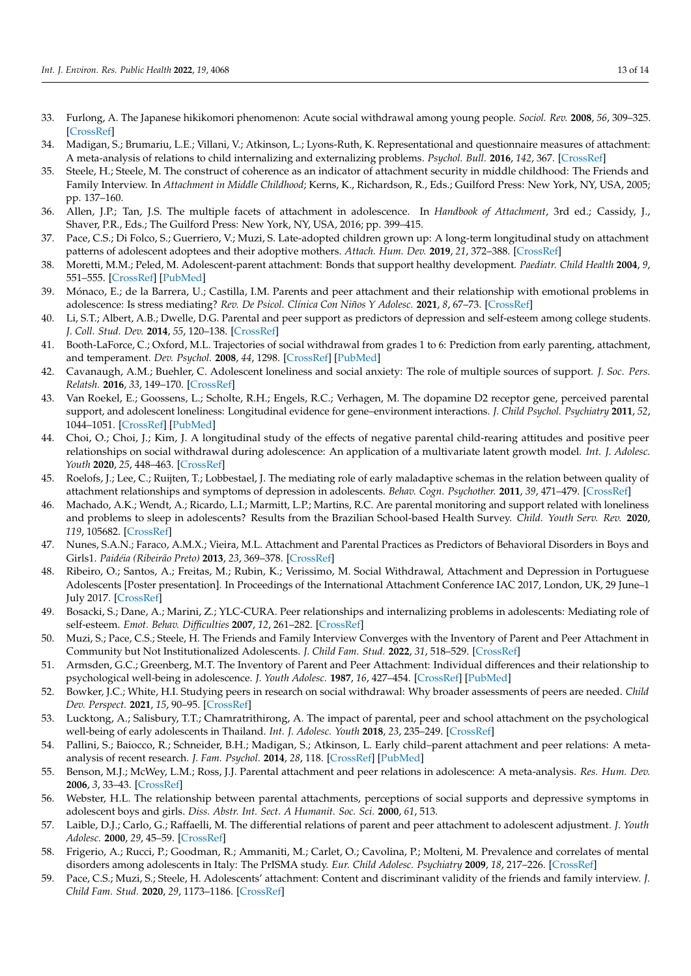- <span id="page-12-0"></span>33. Furlong, A. The Japanese hikikomori phenomenon: Acute social withdrawal among young people. *Sociol. Rev.* **2008**, *56*, 309–325. [\[CrossRef\]](http://doi.org/10.1111/j.1467-954X.2008.00790.x)
- <span id="page-12-1"></span>34. Madigan, S.; Brumariu, L.E.; Villani, V.; Atkinson, L.; Lyons-Ruth, K. Representational and questionnaire measures of attachment: A meta-analysis of relations to child internalizing and externalizing problems. *Psychol. Bull.* **2016**, *142*, 367. [\[CrossRef\]](http://doi.org/10.1037/bul0000029)
- <span id="page-12-2"></span>35. Steele, H.; Steele, M. The construct of coherence as an indicator of attachment security in middle childhood: The Friends and Family Interview. In *Attachment in Middle Childhood*; Kerns, K., Richardson, R., Eds.; Guilford Press: New York, NY, USA, 2005; pp. 137–160.
- <span id="page-12-3"></span>36. Allen, J.P.; Tan, J.S. The multiple facets of attachment in adolescence. In *Handbook of Attachment*, 3rd ed.; Cassidy, J., Shaver, P.R., Eds.; The Guilford Press: New York, NY, USA, 2016; pp. 399–415.
- <span id="page-12-4"></span>37. Pace, C.S.; Di Folco, S.; Guerriero, V.; Muzi, S. Late-adopted children grown up: A long-term longitudinal study on attachment patterns of adolescent adoptees and their adoptive mothers. *Attach. Hum. Dev.* **2019**, *21*, 372–388. [\[CrossRef\]](http://doi.org/10.1080/14616734.2019.1571519)
- <span id="page-12-5"></span>38. Moretti, M.M.; Peled, M. Adolescent-parent attachment: Bonds that support healthy development. *Paediatr. Child Health* **2004**, *9*, 551–555. [\[CrossRef\]](http://doi.org/10.1093/pch/9.8.551) [\[PubMed\]](http://www.ncbi.nlm.nih.gov/pubmed/19680483)
- <span id="page-12-6"></span>39. Mónaco, E.; de la Barrera, U.; Castilla, I.M. Parents and peer attachment and their relationship with emotional problems in adolescence: Is stress mediating? *Rev. De Psicol. Clínica Con Niños Y Adolesc.* **2021**, *8*, 67–73. [\[CrossRef\]](http://doi.org/10.21134/rpcna.2021.08.3.8)
- <span id="page-12-7"></span>40. Li, S.T.; Albert, A.B.; Dwelle, D.G. Parental and peer support as predictors of depression and self-esteem among college students. *J. Coll. Stud. Dev.* **2014**, *55*, 120–138. [\[CrossRef\]](http://doi.org/10.1353/csd.2014.0015)
- 41. Booth-LaForce, C.; Oxford, M.L. Trajectories of social withdrawal from grades 1 to 6: Prediction from early parenting, attachment, and temperament. *Dev. Psychol.* **2008**, *44*, 1298. [\[CrossRef\]](http://doi.org/10.1037/a0012954) [\[PubMed\]](http://www.ncbi.nlm.nih.gov/pubmed/18793064)
- <span id="page-12-13"></span>42. Cavanaugh, A.M.; Buehler, C. Adolescent loneliness and social anxiety: The role of multiple sources of support. *J. Soc. Pers. Relatsh.* **2016**, *33*, 149–170. [\[CrossRef\]](http://doi.org/10.1177/0265407514567837)
- 43. Van Roekel, E.; Goossens, L.; Scholte, R.H.; Engels, R.C.; Verhagen, M. The dopamine D2 receptor gene, perceived parental support, and adolescent loneliness: Longitudinal evidence for gene–environment interactions. *J. Child Psychol. Psychiatry* **2011**, *52*, 1044–1051. [\[CrossRef\]](http://doi.org/10.1111/j.1469-7610.2011.02424.x) [\[PubMed\]](http://www.ncbi.nlm.nih.gov/pubmed/21675993)
- <span id="page-12-11"></span>44. Choi, O.; Choi, J.; Kim, J. A longitudinal study of the effects of negative parental child-rearing attitudes and positive peer relationships on social withdrawal during adolescence: An application of a multivariate latent growth model. *Int. J. Adolesc. Youth* **2020**, *25*, 448–463. [\[CrossRef\]](http://doi.org/10.1080/02673843.2019.1670684)
- <span id="page-12-8"></span>45. Roelofs, J.; Lee, C.; Ruijten, T.; Lobbestael, J. The mediating role of early maladaptive schemas in the relation between quality of attachment relationships and symptoms of depression in adolescents. *Behav. Cogn. Psychother.* **2011**, *39*, 471–479. [\[CrossRef\]](http://doi.org/10.1017/S1352465811000117)
- <span id="page-12-9"></span>46. Machado, A.K.; Wendt, A.; Ricardo, L.I.; Marmitt, L.P.; Martins, R.C. Are parental monitoring and support related with loneliness and problems to sleep in adolescents? Results from the Brazilian School-based Health Survey. *Child. Youth Serv. Rev.* **2020**, *119*, 105682. [\[CrossRef\]](http://doi.org/10.1016/j.childyouth.2020.105682)
- <span id="page-12-10"></span>47. Nunes, S.A.N.; Faraco, A.M.X.; Vieira, M.L. Attachment and Parental Practices as Predictors of Behavioral Disorders in Boys and Girls1. *Paidéia (Ribeirão Preto)* **2013**, *23*, 369–378. [\[CrossRef\]](http://doi.org/10.1590/1982-43272356201311)
- <span id="page-12-12"></span>48. Ribeiro, O.; Santos, A.; Freitas, M.; Rubin, K.; Verissimo, M. Social Withdrawal, Attachment and Depression in Portuguese Adolescents [Poster presentation]. In Proceedings of the International Attachment Conference IAC 2017, London, UK, 29 June–1 July 2017. [\[CrossRef\]](http://doi.org/10.13140/RG.2.2.31410.91845)
- <span id="page-12-14"></span>49. Bosacki, S.; Dane, A.; Marini, Z.; YLC-CURA. Peer relationships and internalizing problems in adolescents: Mediating role of self-esteem. *Emot. Behav. Difficulties* **2007**, *12*, 261–282. [\[CrossRef\]](http://doi.org/10.1080/13632750701664293)
- <span id="page-12-15"></span>50. Muzi, S.; Pace, C.S.; Steele, H. The Friends and Family Interview Converges with the Inventory of Parent and Peer Attachment in Community but Not Institutionalized Adolescents. *J. Child Fam. Stud.* **2022**, *31*, 518–529. [\[CrossRef\]](http://doi.org/10.1007/s10826-021-02181-1)
- <span id="page-12-16"></span>51. Armsden, G.C.; Greenberg, M.T. The Inventory of Parent and Peer Attachment: Individual differences and their relationship to psychological well-being in adolescence. *J. Youth Adolesc.* **1987**, *16*, 427–454. [\[CrossRef\]](http://doi.org/10.1007/BF02202939) [\[PubMed\]](http://www.ncbi.nlm.nih.gov/pubmed/24277469)
- <span id="page-12-17"></span>52. Bowker, J.C.; White, H.I. Studying peers in research on social withdrawal: Why broader assessments of peers are needed. *Child Dev. Perspect.* **2021**, *15*, 90–95. [\[CrossRef\]](http://doi.org/10.1111/cdep.12404)
- <span id="page-12-18"></span>53. Lucktong, A.; Salisbury, T.T.; Chamratrithirong, A. The impact of parental, peer and school attachment on the psychological well-being of early adolescents in Thailand. *Int. J. Adolesc. Youth* **2018**, *23*, 235–249. [\[CrossRef\]](http://doi.org/10.1080/02673843.2017.1330698)
- <span id="page-12-19"></span>54. Pallini, S.; Baiocco, R.; Schneider, B.H.; Madigan, S.; Atkinson, L. Early child–parent attachment and peer relations: A metaanalysis of recent research. *J. Fam. Psychol.* **2014**, *28*, 118. [\[CrossRef\]](http://doi.org/10.1037/a0035736) [\[PubMed\]](http://www.ncbi.nlm.nih.gov/pubmed/24512287)
- <span id="page-12-20"></span>55. Benson, M.J.; McWey, L.M.; Ross, J.J. Parental attachment and peer relations in adolescence: A meta-analysis. *Res. Hum. Dev.* **2006**, *3*, 33–43. [\[CrossRef\]](http://doi.org/10.1207/s15427617rhd0301_4)
- <span id="page-12-21"></span>56. Webster, H.L. The relationship between parental attachments, perceptions of social supports and depressive symptoms in adolescent boys and girls. *Diss. Abstr. Int. Sect. A Humanit. Soc. Sci.* **2000**, *61*, 513.
- <span id="page-12-22"></span>57. Laible, D.J.; Carlo, G.; Raffaelli, M. The differential relations of parent and peer attachment to adolescent adjustment. *J. Youth Adolesc.* **2000**, *29*, 45–59. [\[CrossRef\]](http://doi.org/10.1023/A:1005169004882)
- <span id="page-12-23"></span>58. Frigerio, A.; Rucci, P.; Goodman, R.; Ammaniti, M.; Carlet, O.; Cavolina, P.; Molteni, M. Prevalence and correlates of mental disorders among adolescents in Italy: The PrISMA study. *Eur. Child Adolesc. Psychiatry* **2009**, *18*, 217–226. [\[CrossRef\]](http://doi.org/10.1007/s00787-008-0720-x)
- <span id="page-12-24"></span>59. Pace, C.S.; Muzi, S.; Steele, H. Adolescents' attachment: Content and discriminant validity of the friends and family interview. *J. Child Fam. Stud.* **2020**, *29*, 1173–1186. [\[CrossRef\]](http://doi.org/10.1007/s10826-019-01654-8)